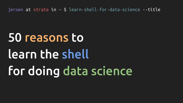# 50 reasons to learn the shell for doing data science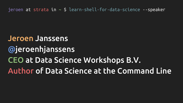#### Jeroen Janssens **@jeroenhjanssens** CEO at Data Science Workshops B.V. Author of Data Science at the Command Line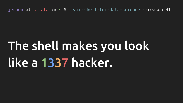# The shell makes you look like a 1337 hacker.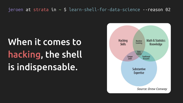# When it comes to hacking, the shell is indispensable.

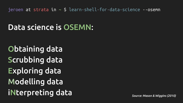#### Data science is OSEMN:

Obtaining data **Scrubbing data Exploring data Modelling data iNterpreting data** 

Source: Mason & Wiggins (2010)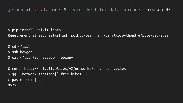```
$ pip install scikit-learn
```
Requirement already satisfied: scikit-learn in /usr/lib/python3.6/site-packages

```
\text{\$ cd \sim/.ssh$}$ ssh-keygen
\frac{1}{2} cat \sim/.ssh/id rsa.pub | pbcopy
```

```
$ curl 'http://api.citybik.es/v2/networks/santander-cycles' |
> jq '.network.stations[].free bikes' |
> paste -sd+ | bc
9525
```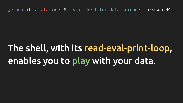### The shell, with its read-eval-print-loop, enables you to play with your data.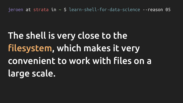# The shell is very close to the filesystem, which makes it very convenient to work with files on a large scale.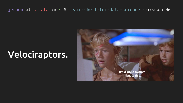#### Velociraptors.

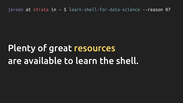#### Plenty of great resources are available to learn the shell.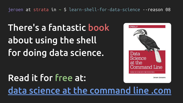# There's a fantastic book about using the shell for doing data science.

#### Read it for free at: Jeroen Janssens data science at the command line .com

**O'REILLY** Data Science at the Command Line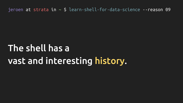#### The shell has a vast and interesting history.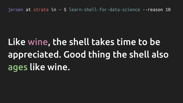# Like wine, the shell takes time to be appreciated. Good thing the shell also ages like wine.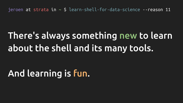### There's always something new to learn about the shell and its many tools.

#### And learning is fun.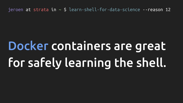# Docker containers are great for safely learning the shell.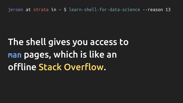# The shell gives you access to man pages, which is like an offline Stack Overflow.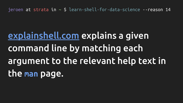# <u>explainshell.com</u> explains a given command line by matching each argument to the relevant help text in the man page.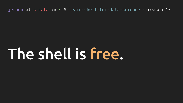# The shell is free.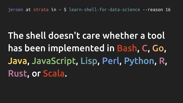The shell doesn't care whether a tool has been implemented in Bash, C, Go, Java, JavaScript, Lisp, Perl, Python, R, Rust, or Scala.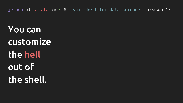**You can** customize the hell out of the shell.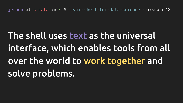# The shell uses text as the universal interface, which enables tools from all over the world to work together and solve problems.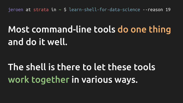### Most command-line tools do one thing and do it well.

### The shell is there to let these tools work together in various ways.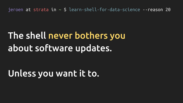#### The shell never bothers you about software updates.

#### Unless you want it to.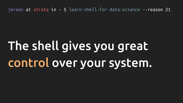# The shell gives you great control over your system.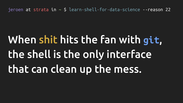# When shit hits the fan with git, the shell is the only interface that can clean up the mess.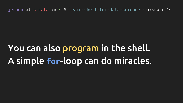### You can also program in the shell. A simple for-loop can do miracles.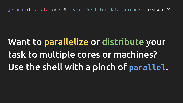# Want to parallelize or distribute your task to multiple cores or machines? Use the shell with a pinch of parallel.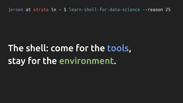### The shell: come for the tools, stay for the environment.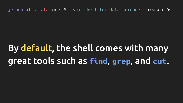### By default, the shell comes with many great tools such as find, grep, and cut.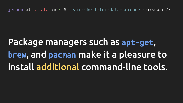## Package managers such as apt-get, brew, and pacman make it a pleasure to install additional command-line tools.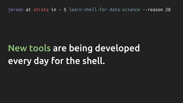#### New tools are being developed every day for the shell.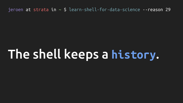# The shell keeps a history.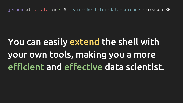# You can easily extend the shell with your own tools, making you a more efficient and effective data scientist.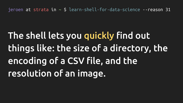# The shell lets you quickly find out things like: the size of a directory, the encoding of a CSV file, and the resolution of an image.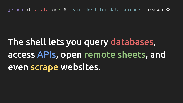## The shell lets you query databases, access APIs, open remote sheets, and even scrape websites.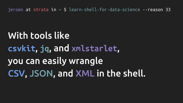**With tools like** csvkit, jq, and xmlstarlet, you can easily wrangle CSV, JSON, and XML in the shell.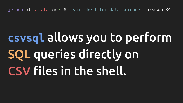# csysql allows you to perform SOL queries directly on CSV files in the shell.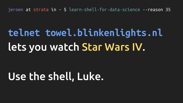# telnet towel.blinkenlights.nl lets you watch Star Wars IV.

## Use the shell, Luke.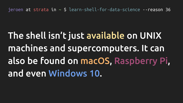# The shell isn't just available on UNIX machines and supercomputers. It can also be found on macOS, Raspberry Pi, and even Windows 10.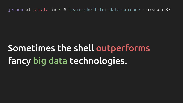### Sometimes the shell outperforms fancy big data technologies.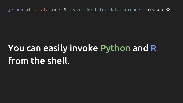### You can easily invoke Python and R from the shell.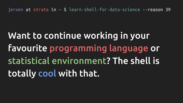# Want to continue working in your favourite programming language or statistical environment? The shell is totally cool with that.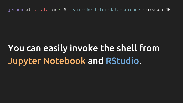### You can easily invoke the shell from Jupyter Notebook and RStudio.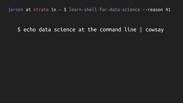#### \$ echo data science at the command line | cowsay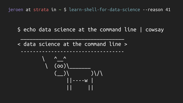\$ echo data science at the command line | cowsay

< data science at the command line >

----------------------------------

 $\overline{\phantom{a}}$  , which is a set of the set of the set of the set of the set of the set of the set of the set of the set of the set of the set of the set of the set of the set of the set of the set of the set of the set of th

$$
\begin{array}{c}\n\left(\begin{array}{c}\n\wedge \\
\wedge \\
\wedge\n\end{array}\right) \\
\left(\begin{array}{c}\n\wedge \\
\wedge\n\end{array}\right) \\
\left(\begin{array}{c}\n\wedge \\
\wedge\n\end{array}\right) \\
\left(\begin{array}{c}\n\wedge \\
\wedge\n\end{array}\right) \\
\left|\begin{array}{c}\n\wedge \\
\wedge\n\end{array}\right| \\
\left|\begin{array}{c}\n\wedge \\
\wedge\n\end{array}\right| \\
\left|\begin{array}{c}\n\wedge \\
\wedge\n\end{array}\right| \\
\left|\begin{array}{c}\n\wedge \\
\wedge\n\end{array}\right| \\
\left|\begin{array}{c}\n\wedge \\
\wedge\n\end{array}\right| \\
\left|\begin{array}{c}\n\wedge \\
\wedge\n\end{array}\right| \\
\left|\begin{array}{c}\n\wedge \\
\wedge\n\end{array}\right| \\
\left|\begin{array}{c}\n\wedge \\
\wedge\n\end{array}\right| \\
\left|\begin{array}{c}\n\wedge \\
\wedge\n\end{array}\right| \\
\left|\begin{array}{c}\n\wedge \\
\wedge\n\end{array}\right| \\
\left|\begin{array}{c}\n\wedge \\
\wedge\n\end{array}\right| \\
\left|\begin{array}{c}\n\wedge \\
\wedge\n\end{array}\right| \\
\left|\begin{array}{c}\n\wedge \\
\wedge\n\end{array}\right| \\
\left|\begin{array}{c}\n\wedge \\
\wedge\n\end{array}\right| \\
\left|\begin{array}{c}\n\wedge \\
\wedge\n\end{array}\right| \\
\left|\begin{array}{c}\n\wedge \\
\wedge\n\end{array}\right| \\
\left|\begin{array}{c}\n\wedge \\
\wedge\n\end{array}\right| \\
\left|\begin{array}{c}\n\wedge \\
\wedge\n\end{array}\right| \\
\left|\begin{array}{c}\n\wedge \\
\wedge\n\end{array}\right| \\
\left|\begin{array}{c}\n\wedge \\
\wedge\n\end{array}\right| \\
\left|\begin{array}{c}\n\wedge \\
\wedge\n\end{array}\right| \\
\left|\begin{array}{c}\n\wedge \\
\wedge\n\end{array}\right| \\
\left|\begin{array}{c}\n\wedge \\
\wedge\n\end{array}\right| \\
\left|\begin{array}{c}\n\wedge \\
\wedge\n\end{array}\right| \\
\left|\begin{array}{c}\n\wedge \\
\wedge\n\end
$$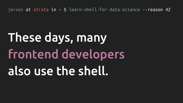# These days, many frontend developers also use the shell.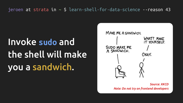# Invoke sudo and the shell will make you a sandwich.



**Source: XKCD** Note: Do not try on frontend developers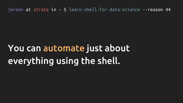### You can automate just about everything using the shell.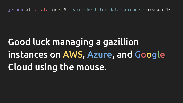# Good luck managing a gazillion instances on AWS, Azure, and Google Cloud using the mouse.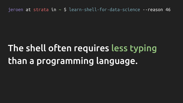### The shell often requires less typing than a programming language.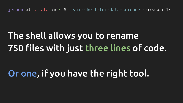### The shell allows you to rename 750 files with just three lines of code.

#### Or one, if you have the right tool.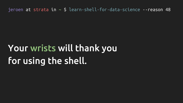### Your wrists will thank you for using the shell.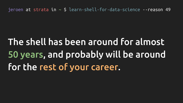# The shell has been around for almost 50 years, and probably will be around for the rest of your career.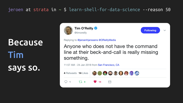**Because** Tim says so.





**Following** 

 $\checkmark$ 

Replying to @jeroenhjanssens @OReillyMedia

Anyone who does not have the command line at their beck-and-call is really missing something.

11:57 AM - 24 Jan 2018 from San Francisco, CA